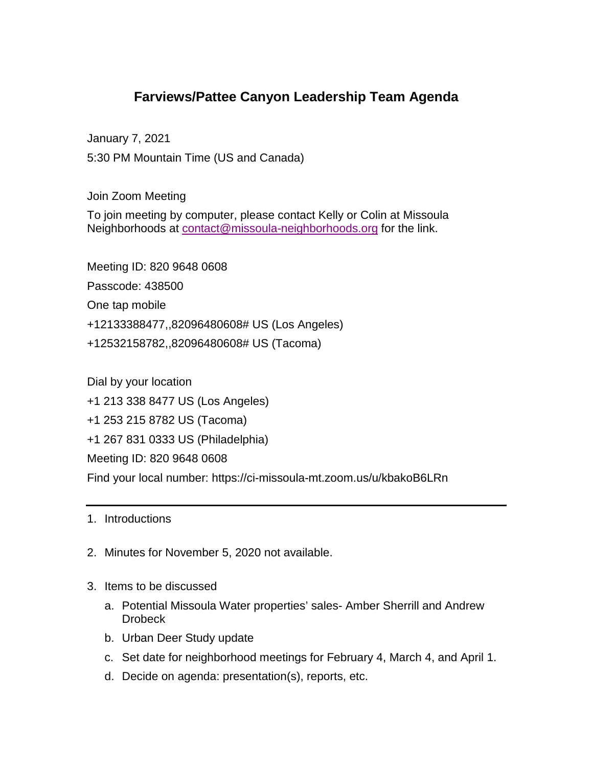## **Farviews/Pattee Canyon Leadership Team Agenda**

January 7, 2021

5:30 PM Mountain Time (US and Canada)

Join Zoom Meeting

To join meeting by computer, please contact Kelly or Colin at Missoula Neighborhoods at [contact@missoula-neighborhoods.org](mailto:contact@missoula-neighborhoods.org) for the link.

Meeting ID: 820 9648 0608 Passcode: 438500 One tap mobile +12133388477,,82096480608# US (Los Angeles) +12532158782,,82096480608# US (Tacoma)

Dial by your location +1 213 338 8477 US (Los Angeles) +1 253 215 8782 US (Tacoma) +1 267 831 0333 US (Philadelphia) Meeting ID: 820 9648 0608 Find your local number: https://ci-missoula-mt.zoom.us/u/kbakoB6LRn

1. Introductions

- 2. Minutes for November 5, 2020 not available.
- 3. Items to be discussed
	- a. Potential Missoula Water properties' sales- Amber Sherrill and Andrew **Drobeck**
	- b. Urban Deer Study update
	- c. Set date for neighborhood meetings for February 4, March 4, and April 1.
	- d. Decide on agenda: presentation(s), reports, etc.